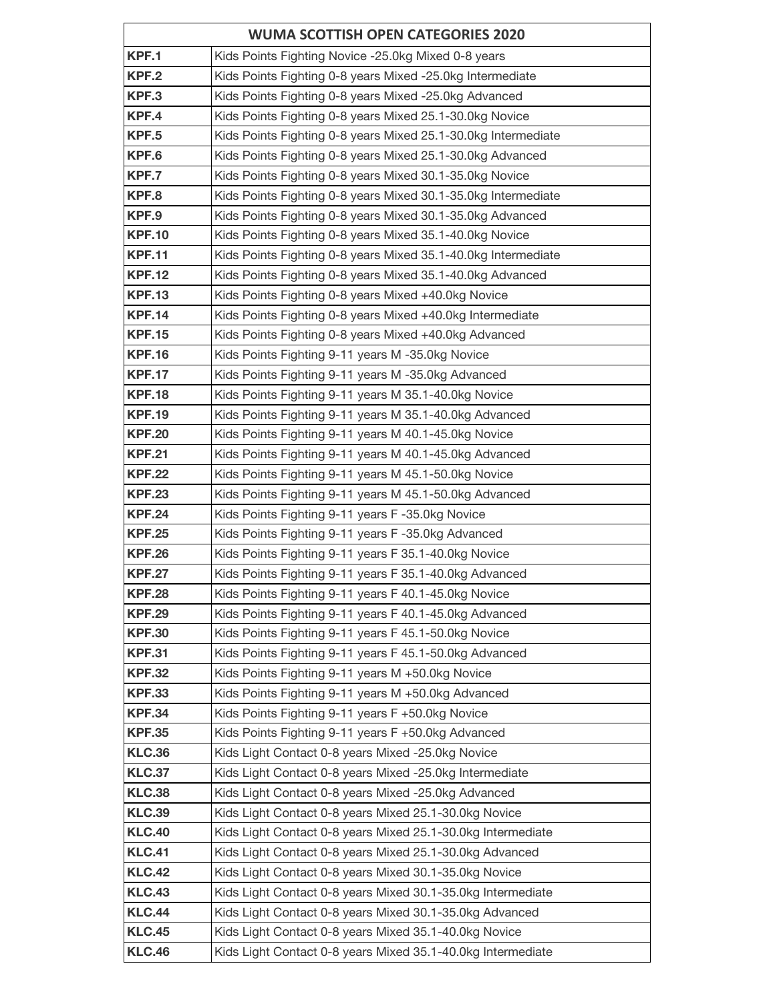|                                | <b>WUMA SCOTTISH OPEN CATEGORIES 2020</b>                                                                    |
|--------------------------------|--------------------------------------------------------------------------------------------------------------|
| KPF.1                          | Kids Points Fighting Novice -25.0kg Mixed 0-8 years                                                          |
| KPF.2                          | Kids Points Fighting 0-8 years Mixed -25.0kg Intermediate                                                    |
| KPF.3                          | Kids Points Fighting 0-8 years Mixed -25.0kg Advanced                                                        |
| KPF.4                          | Kids Points Fighting 0-8 years Mixed 25.1-30.0kg Novice                                                      |
| KPF.5                          | Kids Points Fighting 0-8 years Mixed 25.1-30.0kg Intermediate                                                |
| KPF.6                          | Kids Points Fighting 0-8 years Mixed 25.1-30.0kg Advanced                                                    |
| KPF.7                          | Kids Points Fighting 0-8 years Mixed 30.1-35.0kg Novice                                                      |
| KPF.8                          | Kids Points Fighting 0-8 years Mixed 30.1-35.0kg Intermediate                                                |
| KPF.9                          | Kids Points Fighting 0-8 years Mixed 30.1-35.0kg Advanced                                                    |
| <b>KPF.10</b>                  | Kids Points Fighting 0-8 years Mixed 35.1-40.0kg Novice                                                      |
| <b>KPF.11</b>                  | Kids Points Fighting 0-8 years Mixed 35.1-40.0kg Intermediate                                                |
| <b>KPF.12</b>                  | Kids Points Fighting 0-8 years Mixed 35.1-40.0kg Advanced                                                    |
| <b>KPF.13</b>                  | Kids Points Fighting 0-8 years Mixed +40.0kg Novice                                                          |
| <b>KPF.14</b>                  | Kids Points Fighting 0-8 years Mixed +40.0kg Intermediate                                                    |
| <b>KPF.15</b>                  | Kids Points Fighting 0-8 years Mixed +40.0kg Advanced                                                        |
| <b>KPF.16</b>                  | Kids Points Fighting 9-11 years M-35.0kg Novice                                                              |
| <b>KPF.17</b>                  | Kids Points Fighting 9-11 years M-35.0kg Advanced                                                            |
| <b>KPF.18</b>                  | Kids Points Fighting 9-11 years M 35.1-40.0kg Novice                                                         |
| <b>KPF.19</b>                  | Kids Points Fighting 9-11 years M 35.1-40.0kg Advanced                                                       |
| <b>KPF.20</b>                  | Kids Points Fighting 9-11 years M 40.1-45.0kg Novice                                                         |
| <b>KPF.21</b>                  | Kids Points Fighting 9-11 years M 40.1-45.0kg Advanced                                                       |
| <b>KPF.22</b>                  | Kids Points Fighting 9-11 years M 45.1-50.0kg Novice                                                         |
| <b>KPF.23</b>                  | Kids Points Fighting 9-11 years M 45.1-50.0kg Advanced                                                       |
| <b>KPF.24</b>                  | Kids Points Fighting 9-11 years F-35.0kg Novice                                                              |
| <b>KPF.25</b>                  | Kids Points Fighting 9-11 years F-35.0kg Advanced                                                            |
| <b>KPF.26</b>                  | Kids Points Fighting 9-11 years F 35.1-40.0kg Novice                                                         |
| <b>KPF.27</b>                  | Kids Points Fighting 9-11 years F 35.1-40.0kg Advanced                                                       |
| <b>KPF.28</b>                  | Kids Points Fighting 9-11 years F 40.1-45.0kg Novice                                                         |
| <b>KPF.29</b>                  | Kids Points Fighting 9-11 years F 40.1-45.0kg Advanced                                                       |
| <b>KPF.30</b>                  | Kids Points Fighting 9-11 years F 45.1-50.0kg Novice                                                         |
| <b>KPF.31</b>                  | Kids Points Fighting 9-11 years F 45.1-50.0kg Advanced                                                       |
| <b>KPF.32</b>                  | Kids Points Fighting 9-11 years M +50.0kg Novice                                                             |
| <b>KPF.33</b>                  | Kids Points Fighting 9-11 years M +50.0kg Advanced                                                           |
| <b>KPF.34</b><br><b>KPF.35</b> | Kids Points Fighting 9-11 years F +50.0kg Novice                                                             |
| <b>KLC.36</b>                  | Kids Points Fighting 9-11 years F +50.0kg Advanced                                                           |
| <b>KLC.37</b>                  | Kids Light Contact 0-8 years Mixed -25.0kg Novice<br>Kids Light Contact 0-8 years Mixed -25.0kg Intermediate |
| <b>KLC.38</b>                  | Kids Light Contact 0-8 years Mixed -25.0kg Advanced                                                          |
| <b>KLC.39</b>                  | Kids Light Contact 0-8 years Mixed 25.1-30.0kg Novice                                                        |
| <b>KLC.40</b>                  | Kids Light Contact 0-8 years Mixed 25.1-30.0kg Intermediate                                                  |
| <b>KLC.41</b>                  | Kids Light Contact 0-8 years Mixed 25.1-30.0kg Advanced                                                      |
| <b>KLC.42</b>                  | Kids Light Contact 0-8 years Mixed 30.1-35.0kg Novice                                                        |
| <b>KLC.43</b>                  | Kids Light Contact 0-8 years Mixed 30.1-35.0kg Intermediate                                                  |
| <b>KLC.44</b>                  | Kids Light Contact 0-8 years Mixed 30.1-35.0kg Advanced                                                      |
| <b>KLC.45</b>                  | Kids Light Contact 0-8 years Mixed 35.1-40.0kg Novice                                                        |
| <b>KLC.46</b>                  | Kids Light Contact 0-8 years Mixed 35.1-40.0kg Intermediate                                                  |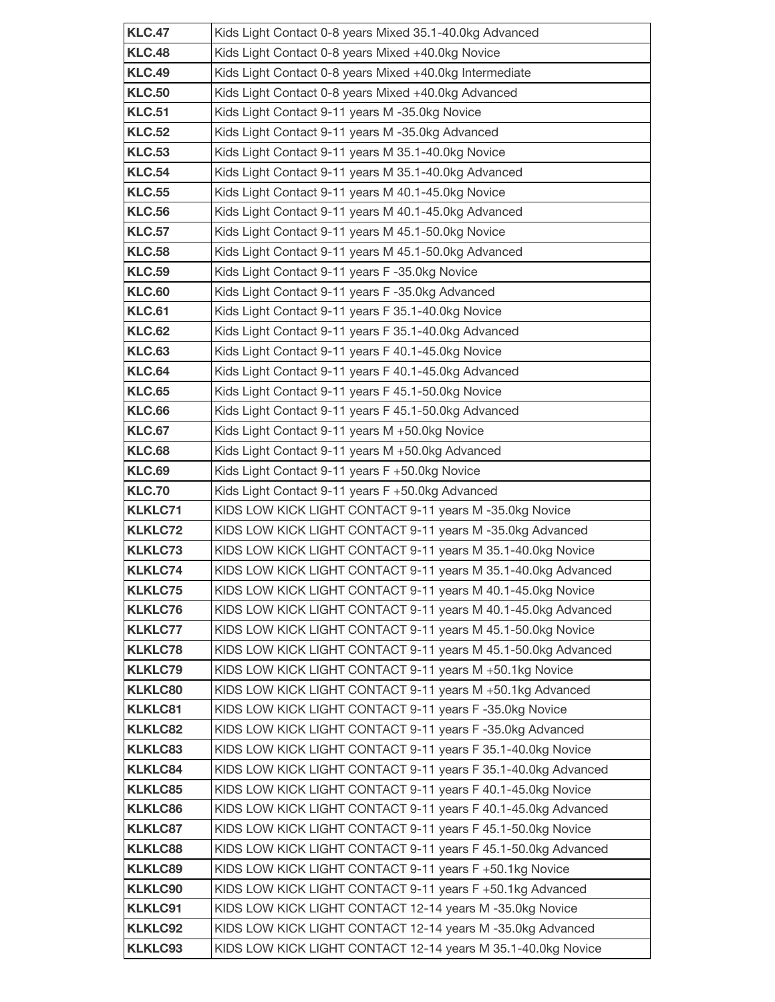| <b>KLC.47</b>                    | Kids Light Contact 0-8 years Mixed 35.1-40.0kg Advanced                                                                  |
|----------------------------------|--------------------------------------------------------------------------------------------------------------------------|
| <b>KLC.48</b>                    | Kids Light Contact 0-8 years Mixed +40.0kg Novice                                                                        |
| <b>KLC.49</b>                    | Kids Light Contact 0-8 years Mixed +40.0kg Intermediate                                                                  |
| <b>KLC.50</b>                    | Kids Light Contact 0-8 years Mixed +40.0kg Advanced                                                                      |
| <b>KLC.51</b>                    | Kids Light Contact 9-11 years M-35.0kg Novice                                                                            |
| <b>KLC.52</b>                    | Kids Light Contact 9-11 years M -35.0kg Advanced                                                                         |
| <b>KLC.53</b>                    | Kids Light Contact 9-11 years M 35.1-40.0kg Novice                                                                       |
| <b>KLC.54</b>                    | Kids Light Contact 9-11 years M 35.1-40.0kg Advanced                                                                     |
| <b>KLC.55</b>                    | Kids Light Contact 9-11 years M 40.1-45.0kg Novice                                                                       |
| <b>KLC.56</b>                    | Kids Light Contact 9-11 years M 40.1-45.0kg Advanced                                                                     |
| <b>KLC.57</b>                    | Kids Light Contact 9-11 years M 45.1-50.0kg Novice                                                                       |
| <b>KLC.58</b>                    | Kids Light Contact 9-11 years M 45.1-50.0kg Advanced                                                                     |
| <b>KLC.59</b>                    | Kids Light Contact 9-11 years F-35.0kg Novice                                                                            |
| <b>KLC.60</b>                    | Kids Light Contact 9-11 years F-35.0kg Advanced                                                                          |
| <b>KLC.61</b>                    | Kids Light Contact 9-11 years F 35.1-40.0kg Novice                                                                       |
| <b>KLC.62</b>                    | Kids Light Contact 9-11 years F 35.1-40.0kg Advanced                                                                     |
| <b>KLC.63</b>                    | Kids Light Contact 9-11 years F 40.1-45.0kg Novice                                                                       |
| <b>KLC.64</b>                    | Kids Light Contact 9-11 years F 40.1-45.0kg Advanced                                                                     |
| <b>KLC.65</b>                    | Kids Light Contact 9-11 years F 45.1-50.0kg Novice                                                                       |
| <b>KLC.66</b>                    | Kids Light Contact 9-11 years F 45.1-50.0kg Advanced                                                                     |
| <b>KLC.67</b>                    | Kids Light Contact 9-11 years M +50.0kg Novice                                                                           |
| <b>KLC.68</b>                    | Kids Light Contact 9-11 years M +50.0kg Advanced                                                                         |
| <b>KLC.69</b>                    | Kids Light Contact 9-11 years F +50.0kg Novice                                                                           |
| <b>KLC.70</b>                    | Kids Light Contact 9-11 years F +50.0kg Advanced                                                                         |
| <b>KLKLC71</b>                   | KIDS LOW KICK LIGHT CONTACT 9-11 years M-35.0kg Novice                                                                   |
| <b>KLKLC72</b>                   | KIDS LOW KICK LIGHT CONTACT 9-11 years M-35.0kg Advanced                                                                 |
| <b>KLKLC73</b>                   | KIDS LOW KICK LIGHT CONTACT 9-11 years M 35.1-40.0kg Novice                                                              |
| <b>KLKLC74</b>                   | KIDS LOW KICK LIGHT CONTACT 9-11 years M 35.1-40.0kg Advanced                                                            |
| <b>KLKLC75</b>                   | KIDS LOW KICK LIGHT CONTACT 9-11 years M 40.1-45.0kg Novice                                                              |
| <b>KLKLC76</b>                   | KIDS LOW KICK LIGHT CONTACT 9-11 years M 40.1-45.0kg Advanced                                                            |
| <b>KLKLC77</b>                   | KIDS LOW KICK LIGHT CONTACT 9-11 years M 45.1-50.0kg Novice                                                              |
| <b>KLKLC78</b><br><b>KLKLC79</b> | KIDS LOW KICK LIGHT CONTACT 9-11 years M 45.1-50.0kg Advanced<br>KIDS LOW KICK LIGHT CONTACT 9-11 years M +50.1kg Novice |
| <b>KLKLC80</b>                   | KIDS LOW KICK LIGHT CONTACT 9-11 years M +50.1kg Advanced                                                                |
| <b>KLKLC81</b>                   | KIDS LOW KICK LIGHT CONTACT 9-11 years F-35.0kg Novice                                                                   |
| <b>KLKLC82</b>                   | KIDS LOW KICK LIGHT CONTACT 9-11 years F-35.0kg Advanced                                                                 |
| <b>KLKLC83</b>                   | KIDS LOW KICK LIGHT CONTACT 9-11 years F 35.1-40.0kg Novice                                                              |
| <b>KLKLC84</b>                   | KIDS LOW KICK LIGHT CONTACT 9-11 years F 35.1-40.0kg Advanced                                                            |
| <b>KLKLC85</b>                   | KIDS LOW KICK LIGHT CONTACT 9-11 years F 40.1-45.0kg Novice                                                              |
| <b>KLKLC86</b>                   | KIDS LOW KICK LIGHT CONTACT 9-11 years F 40.1-45.0kg Advanced                                                            |
| <b>KLKLC87</b>                   | KIDS LOW KICK LIGHT CONTACT 9-11 years F 45.1-50.0kg Novice                                                              |
| <b>KLKLC88</b>                   | KIDS LOW KICK LIGHT CONTACT 9-11 years F 45.1-50.0kg Advanced                                                            |
| <b>KLKLC89</b>                   | KIDS LOW KICK LIGHT CONTACT 9-11 years F +50.1kg Novice                                                                  |
| <b>KLKLC90</b>                   | KIDS LOW KICK LIGHT CONTACT 9-11 years F +50.1kg Advanced                                                                |
| <b>KLKLC91</b>                   | KIDS LOW KICK LIGHT CONTACT 12-14 years M-35.0kg Novice                                                                  |
| <b>KLKLC92</b>                   | KIDS LOW KICK LIGHT CONTACT 12-14 years M-35.0kg Advanced                                                                |
| <b>KLKLC93</b>                   | KIDS LOW KICK LIGHT CONTACT 12-14 years M 35.1-40.0kg Novice                                                             |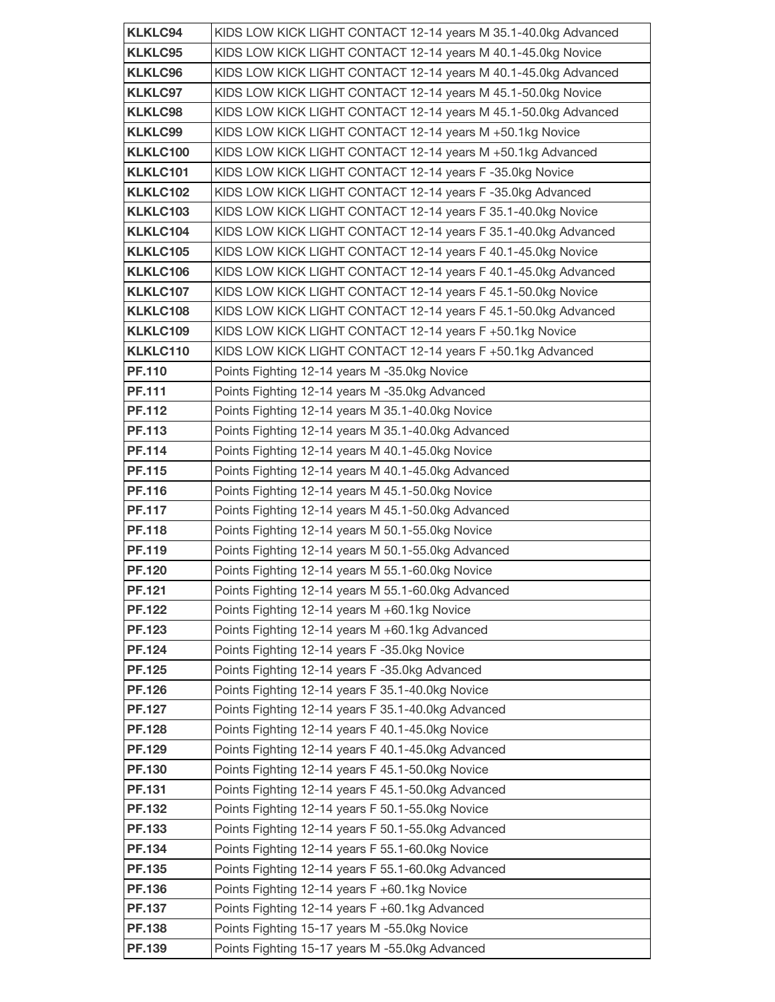| <b>KLKLC94</b>          | KIDS LOW KICK LIGHT CONTACT 12-14 years M 35.1-40.0kg Advanced                               |
|-------------------------|----------------------------------------------------------------------------------------------|
| <b>KLKLC95</b>          | KIDS LOW KICK LIGHT CONTACT 12-14 years M 40.1-45.0kg Novice                                 |
| <b>KLKLC96</b>          | KIDS LOW KICK LIGHT CONTACT 12-14 years M 40.1-45.0kg Advanced                               |
| <b>KLKLC97</b>          | KIDS LOW KICK LIGHT CONTACT 12-14 years M 45.1-50.0kg Novice                                 |
| <b>KLKLC98</b>          | KIDS LOW KICK LIGHT CONTACT 12-14 years M 45.1-50.0kg Advanced                               |
| <b>KLKLC99</b>          | KIDS LOW KICK LIGHT CONTACT 12-14 years M +50.1kg Novice                                     |
| <b>KLKLC100</b>         | KIDS LOW KICK LIGHT CONTACT 12-14 years M +50.1kg Advanced                                   |
| KLKLC101                | KIDS LOW KICK LIGHT CONTACT 12-14 years F-35.0kg Novice                                      |
| <b>KLKLC102</b>         | KIDS LOW KICK LIGHT CONTACT 12-14 years F-35.0kg Advanced                                    |
| <b>KLKLC103</b>         | KIDS LOW KICK LIGHT CONTACT 12-14 years F 35.1-40.0kg Novice                                 |
| KLKLC104                | KIDS LOW KICK LIGHT CONTACT 12-14 years F 35.1-40.0kg Advanced                               |
| <b>KLKLC105</b>         | KIDS LOW KICK LIGHT CONTACT 12-14 years F 40.1-45.0kg Novice                                 |
| <b>KLKLC106</b>         | KIDS LOW KICK LIGHT CONTACT 12-14 years F 40.1-45.0kg Advanced                               |
| <b>KLKLC107</b>         | KIDS LOW KICK LIGHT CONTACT 12-14 years F 45.1-50.0kg Novice                                 |
| KLKLC108                | KIDS LOW KICK LIGHT CONTACT 12-14 years F 45.1-50.0kg Advanced                               |
| <b>KLKLC109</b>         | KIDS LOW KICK LIGHT CONTACT 12-14 years F +50.1kg Novice                                     |
| KLKLC110                | KIDS LOW KICK LIGHT CONTACT 12-14 years F +50.1kg Advanced                                   |
| <b>PF.110</b>           | Points Fighting 12-14 years M -35.0kg Novice                                                 |
| PF.111                  | Points Fighting 12-14 years M-35.0kg Advanced                                                |
| <b>PF.112</b>           | Points Fighting 12-14 years M 35.1-40.0kg Novice                                             |
| <b>PF.113</b>           | Points Fighting 12-14 years M 35.1-40.0kg Advanced                                           |
| PF.114                  | Points Fighting 12-14 years M 40.1-45.0kg Novice                                             |
| <b>PF.115</b>           | Points Fighting 12-14 years M 40.1-45.0kg Advanced                                           |
| <b>PF.116</b>           | Points Fighting 12-14 years M 45.1-50.0kg Novice                                             |
| <b>PF.117</b>           | Points Fighting 12-14 years M 45.1-50.0kg Advanced                                           |
| <b>PF.118</b>           | Points Fighting 12-14 years M 50.1-55.0kg Novice                                             |
| PF.119                  | Points Fighting 12-14 years M 50.1-55.0kg Advanced                                           |
| <b>PF.120</b>           | Points Fighting 12-14 years M 55.1-60.0kg Novice                                             |
| PF.121                  | Points Fighting 12-14 years M 55.1-60.0kg Advanced                                           |
| PF.122                  | Points Fighting 12-14 years M +60.1kg Novice                                                 |
| PF.123<br><b>PF.124</b> | Points Fighting 12-14 years M +60.1kg Advanced                                               |
| <b>PF.125</b>           | Points Fighting 12-14 years F-35.0kg Novice<br>Points Fighting 12-14 years F-35.0kg Advanced |
| <b>PF.126</b>           | Points Fighting 12-14 years F 35.1-40.0kg Novice                                             |
| <b>PF.127</b>           | Points Fighting 12-14 years F 35.1-40.0kg Advanced                                           |
| <b>PF.128</b>           | Points Fighting 12-14 years F 40.1-45.0kg Novice                                             |
| PF.129                  | Points Fighting 12-14 years F 40.1-45.0kg Advanced                                           |
| PF.130                  | Points Fighting 12-14 years F 45.1-50.0kg Novice                                             |
| PF.131                  | Points Fighting 12-14 years F 45.1-50.0kg Advanced                                           |
| PF.132                  | Points Fighting 12-14 years F 50.1-55.0kg Novice                                             |
| PF.133                  | Points Fighting 12-14 years F 50.1-55.0kg Advanced                                           |
| PF.134                  | Points Fighting 12-14 years F 55.1-60.0kg Novice                                             |
| PF.135                  | Points Fighting 12-14 years F 55.1-60.0kg Advanced                                           |
| PF.136                  | Points Fighting 12-14 years F +60.1kg Novice                                                 |
| PF.137                  | Points Fighting 12-14 years F +60.1kg Advanced                                               |
| PF.138                  | Points Fighting 15-17 years M -55.0kg Novice                                                 |
| PF.139                  | Points Fighting 15-17 years M -55.0kg Advanced                                               |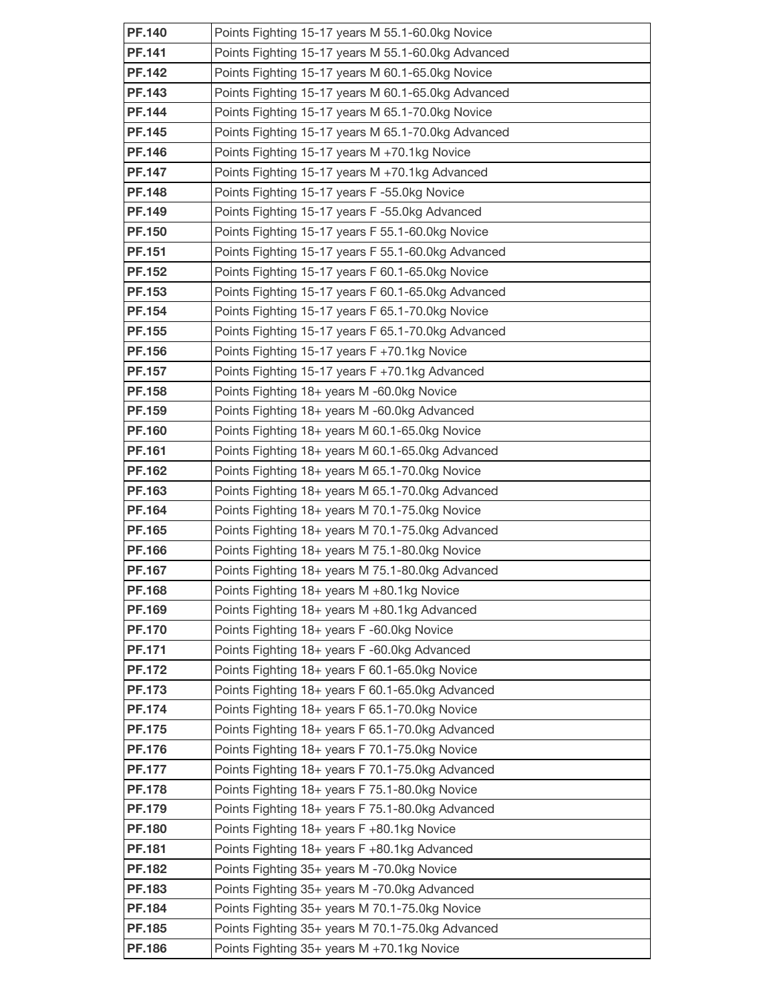| <b>PF.140</b>                  | Points Fighting 15-17 years M 55.1-60.0kg Novice                                                   |
|--------------------------------|----------------------------------------------------------------------------------------------------|
| PF.141                         | Points Fighting 15-17 years M 55.1-60.0kg Advanced                                                 |
| <b>PF.142</b>                  | Points Fighting 15-17 years M 60.1-65.0kg Novice                                                   |
| PF.143                         | Points Fighting 15-17 years M 60.1-65.0kg Advanced                                                 |
| <b>PF.144</b>                  | Points Fighting 15-17 years M 65.1-70.0kg Novice                                                   |
| <b>PF.145</b>                  | Points Fighting 15-17 years M 65.1-70.0kg Advanced                                                 |
| <b>PF.146</b>                  | Points Fighting 15-17 years M +70.1kg Novice                                                       |
| <b>PF.147</b>                  | Points Fighting 15-17 years M +70.1kg Advanced                                                     |
| <b>PF.148</b>                  | Points Fighting 15-17 years F-55.0kg Novice                                                        |
| PF.149                         | Points Fighting 15-17 years F-55.0kg Advanced                                                      |
| <b>PF.150</b>                  | Points Fighting 15-17 years F 55.1-60.0kg Novice                                                   |
| PF.151                         | Points Fighting 15-17 years F 55.1-60.0kg Advanced                                                 |
| PF.152                         | Points Fighting 15-17 years F 60.1-65.0kg Novice                                                   |
| PF.153                         | Points Fighting 15-17 years F 60.1-65.0kg Advanced                                                 |
| PF.154                         | Points Fighting 15-17 years F 65.1-70.0kg Novice                                                   |
| PF.155                         | Points Fighting 15-17 years F 65.1-70.0kg Advanced                                                 |
| <b>PF.156</b>                  | Points Fighting 15-17 years F +70.1kg Novice                                                       |
| <b>PF.157</b>                  | Points Fighting 15-17 years F +70.1kg Advanced                                                     |
| <b>PF.158</b>                  | Points Fighting 18+ years M -60.0kg Novice                                                         |
| PF.159                         | Points Fighting 18+ years M -60.0kg Advanced                                                       |
| <b>PF.160</b>                  | Points Fighting 18+ years M 60.1-65.0kg Novice                                                     |
| PF.161                         | Points Fighting 18+ years M 60.1-65.0kg Advanced                                                   |
| <b>PF.162</b>                  | Points Fighting 18+ years M 65.1-70.0kg Novice                                                     |
| PF.163                         | Points Fighting 18+ years M 65.1-70.0kg Advanced                                                   |
| PF.164                         | Points Fighting 18+ years M 70.1-75.0kg Novice                                                     |
| PF.165                         | Points Fighting 18+ years M 70.1-75.0kg Advanced                                                   |
| <b>PF.166</b>                  | Points Fighting 18+ years M 75.1-80.0kg Novice                                                     |
| <b>PF.167</b>                  | Points Fighting 18+ years M 75.1-80.0kg Advanced                                                   |
| <b>PF.168</b>                  | Points Fighting 18+ years M +80.1kg Novice                                                         |
| PF.169                         | Points Fighting 18+ years M +80.1kg Advanced                                                       |
| <b>PF.170</b>                  | Points Fighting 18+ years F-60.0kg Novice                                                          |
| PF.171                         | Points Fighting 18+ years F-60.0kg Advanced                                                        |
| <b>PF.172</b>                  | Points Fighting 18+ years F 60.1-65.0kg Novice                                                     |
| <b>PF.173</b><br><b>PF.174</b> | Points Fighting 18+ years F 60.1-65.0kg Advanced<br>Points Fighting 18+ years F 65.1-70.0kg Novice |
| <b>PF.175</b>                  | Points Fighting 18+ years F 65.1-70.0kg Advanced                                                   |
| <b>PF.176</b>                  | Points Fighting 18+ years F 70.1-75.0kg Novice                                                     |
| <b>PF.177</b>                  | Points Fighting 18+ years F 70.1-75.0kg Advanced                                                   |
| <b>PF.178</b>                  | Points Fighting 18+ years F 75.1-80.0kg Novice                                                     |
| PF.179                         | Points Fighting 18+ years F 75.1-80.0kg Advanced                                                   |
| <b>PF.180</b>                  | Points Fighting $18 +$ years F +80.1kg Novice                                                      |
| PF.181                         | Points Fighting 18+ years F +80.1kg Advanced                                                       |
| <b>PF.182</b>                  | Points Fighting 35+ years M-70.0kg Novice                                                          |
| <b>PF.183</b>                  | Points Fighting 35+ years M -70.0kg Advanced                                                       |
| <b>PF.184</b>                  | Points Fighting 35+ years M 70.1-75.0kg Novice                                                     |
| <b>PF.185</b>                  | Points Fighting 35+ years M 70.1-75.0kg Advanced                                                   |
| <b>PF.186</b>                  | Points Fighting $35+$ years M +70.1kg Novice                                                       |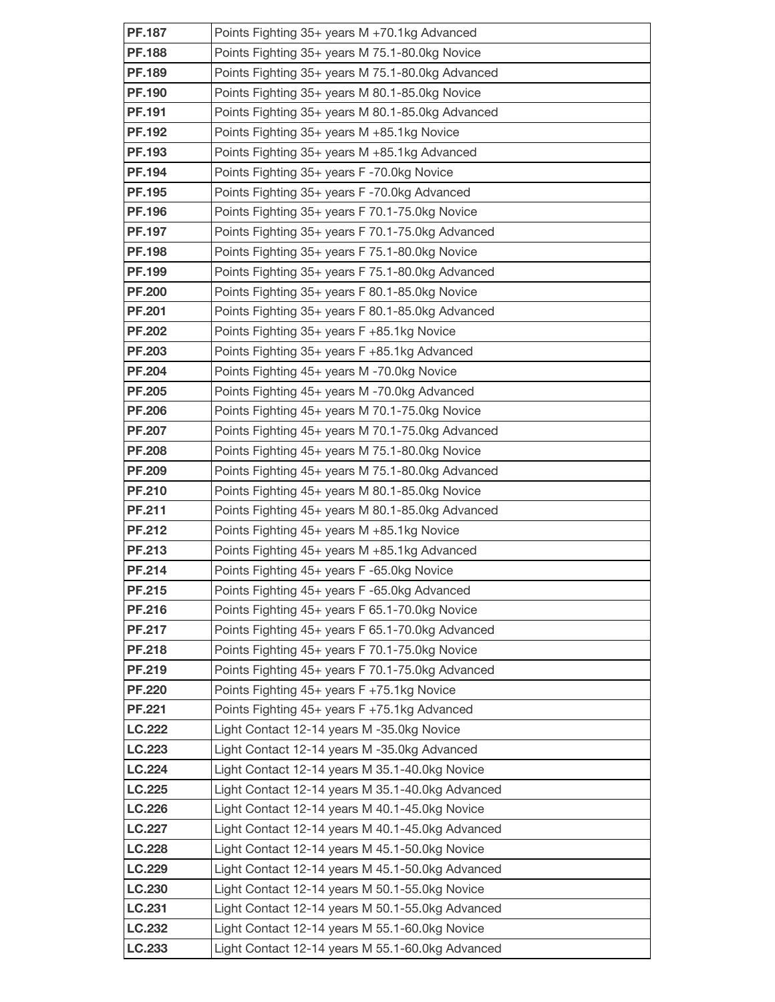| <b>PF.187</b>                  | Points Fighting 35+ years M +70.1kg Advanced                                                       |
|--------------------------------|----------------------------------------------------------------------------------------------------|
| <b>PF.188</b>                  | Points Fighting 35+ years M 75.1-80.0kg Novice                                                     |
| <b>PF.189</b>                  | Points Fighting 35+ years M 75.1-80.0kg Advanced                                                   |
| <b>PF.190</b>                  | Points Fighting 35+ years M 80.1-85.0kg Novice                                                     |
| <b>PF.191</b>                  | Points Fighting 35+ years M 80.1-85.0kg Advanced                                                   |
| <b>PF.192</b>                  | Points Fighting 35+ years M +85.1kg Novice                                                         |
| PF.193                         | Points Fighting 35+ years M +85.1kg Advanced                                                       |
| <b>PF.194</b>                  | Points Fighting 35+ years F-70.0kg Novice                                                          |
| PF.195                         | Points Fighting 35+ years F-70.0kg Advanced                                                        |
| <b>PF.196</b>                  | Points Fighting 35+ years F 70.1-75.0kg Novice                                                     |
| PF.197                         | Points Fighting 35+ years F 70.1-75.0kg Advanced                                                   |
| <b>PF.198</b>                  | Points Fighting 35+ years F 75.1-80.0kg Novice                                                     |
| <b>PF.199</b>                  | Points Fighting 35+ years F 75.1-80.0kg Advanced                                                   |
| <b>PF.200</b>                  | Points Fighting 35+ years F 80.1-85.0kg Novice                                                     |
| <b>PF.201</b>                  | Points Fighting 35+ years F 80.1-85.0kg Advanced                                                   |
| <b>PF.202</b>                  | Points Fighting 35+ years F +85.1kg Novice                                                         |
| <b>PF.203</b>                  | Points Fighting 35+ years F +85.1kg Advanced                                                       |
| <b>PF.204</b>                  | Points Fighting 45+ years M-70.0kg Novice                                                          |
| <b>PF.205</b>                  | Points Fighting 45+ years M-70.0kg Advanced                                                        |
| <b>PF.206</b>                  | Points Fighting 45+ years M 70.1-75.0kg Novice                                                     |
| <b>PF.207</b>                  | Points Fighting 45+ years M 70.1-75.0kg Advanced                                                   |
| <b>PF.208</b>                  | Points Fighting 45+ years M 75.1-80.0kg Novice                                                     |
| <b>PF.209</b>                  | Points Fighting 45+ years M 75.1-80.0kg Advanced                                                   |
| <b>PF.210</b>                  | Points Fighting 45+ years M 80.1-85.0kg Novice                                                     |
| PF.211                         | Points Fighting 45+ years M 80.1-85.0kg Advanced                                                   |
| <b>PF.212</b>                  | Points Fighting $45+$ years M $+85.1$ kg Novice                                                    |
| PF.213                         | Points Fighting 45+ years M +85.1kg Advanced                                                       |
| PF.214                         | Points Fighting 45+ years F-65.0kg Novice                                                          |
| PF.215                         | Points Fighting 45+ years F-65.0kg Advanced                                                        |
| <b>PF.216</b><br><b>PF.217</b> | Points Fighting 45+ years F 65.1-70.0kg Novice                                                     |
| <b>PF.218</b>                  | Points Fighting 45+ years F 65.1-70.0kg Advanced<br>Points Fighting 45+ years F 70.1-75.0kg Novice |
| PF.219                         | Points Fighting 45+ years F 70.1-75.0kg Advanced                                                   |
| <b>PF.220</b>                  | Points Fighting 45+ years F +75.1kg Novice                                                         |
| <b>PF.221</b>                  | Points Fighting 45+ years F +75.1kg Advanced                                                       |
| <b>LC.222</b>                  | Light Contact 12-14 years M -35.0kg Novice                                                         |
| LC.223                         | Light Contact 12-14 years M -35.0kg Advanced                                                       |
| LC.224                         | Light Contact 12-14 years M 35.1-40.0kg Novice                                                     |
| LC.225                         | Light Contact 12-14 years M 35.1-40.0kg Advanced                                                   |
| LC.226                         | Light Contact 12-14 years M 40.1-45.0kg Novice                                                     |
| LC.227                         | Light Contact 12-14 years M 40.1-45.0kg Advanced                                                   |
| LC.228                         | Light Contact 12-14 years M 45.1-50.0kg Novice                                                     |
| LC.229                         | Light Contact 12-14 years M 45.1-50.0kg Advanced                                                   |
| LC.230                         | Light Contact 12-14 years M 50.1-55.0kg Novice                                                     |
| LC.231                         | Light Contact 12-14 years M 50.1-55.0kg Advanced                                                   |
| LC.232                         | Light Contact 12-14 years M 55.1-60.0kg Novice                                                     |
| LC.233                         | Light Contact 12-14 years M 55.1-60.0kg Advanced                                                   |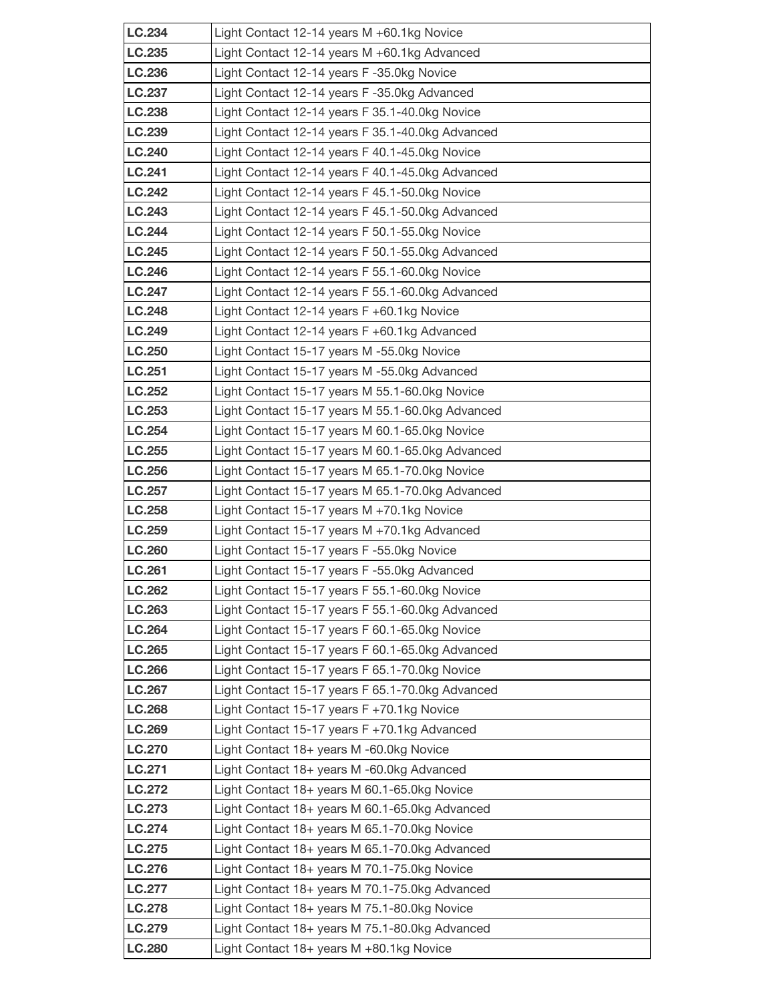| LC.234           | Light Contact 12-14 years M +60.1kg Novice                                                         |
|------------------|----------------------------------------------------------------------------------------------------|
| LC.235           | Light Contact 12-14 years M +60.1kg Advanced                                                       |
| LC.236           | Light Contact 12-14 years F-35.0kg Novice                                                          |
| LC.237           | Light Contact 12-14 years F-35.0kg Advanced                                                        |
| LC.238           | Light Contact 12-14 years F 35.1-40.0kg Novice                                                     |
| LC.239           | Light Contact 12-14 years F 35.1-40.0kg Advanced                                                   |
| LC.240           | Light Contact 12-14 years F 40.1-45.0kg Novice                                                     |
| LC.241           | Light Contact 12-14 years F 40.1-45.0kg Advanced                                                   |
| <b>LC.242</b>    | Light Contact 12-14 years F 45.1-50.0kg Novice                                                     |
| LC.243           | Light Contact 12-14 years F 45.1-50.0kg Advanced                                                   |
| LC.244           | Light Contact 12-14 years F 50.1-55.0kg Novice                                                     |
| LC.245           | Light Contact 12-14 years F 50.1-55.0kg Advanced                                                   |
| LC.246           | Light Contact 12-14 years F 55.1-60.0kg Novice                                                     |
| <b>LC.247</b>    | Light Contact 12-14 years F 55.1-60.0kg Advanced                                                   |
| LC.248           | Light Contact 12-14 years $F + 60.1$ kg Novice                                                     |
| LC.249           | Light Contact 12-14 years F +60.1kg Advanced                                                       |
| LC.250           | Light Contact 15-17 years M -55.0kg Novice                                                         |
| LC.251           | Light Contact 15-17 years M -55.0kg Advanced                                                       |
| LC.252           | Light Contact 15-17 years M 55.1-60.0kg Novice                                                     |
| LC.253           | Light Contact 15-17 years M 55.1-60.0kg Advanced                                                   |
| LC.254           | Light Contact 15-17 years M 60.1-65.0kg Novice                                                     |
| LC.255           | Light Contact 15-17 years M 60.1-65.0kg Advanced                                                   |
| LC.256           | Light Contact 15-17 years M 65.1-70.0kg Novice                                                     |
| LC.257           | Light Contact 15-17 years M 65.1-70.0kg Advanced                                                   |
| LC.258           | Light Contact 15-17 years M +70.1kg Novice                                                         |
| LC.259           | Light Contact 15-17 years M +70.1kg Advanced                                                       |
| LC.260           | Light Contact 15-17 years F-55.0kg Novice                                                          |
| LC.261<br>LC.262 | Light Contact 15-17 years F-55.0kg Advanced                                                        |
| LC.263           | Light Contact 15-17 years F 55.1-60.0kg Novice<br>Light Contact 15-17 years F 55.1-60.0kg Advanced |
| LC.264           | Light Contact 15-17 years F 60.1-65.0kg Novice                                                     |
| LC.265           | Light Contact 15-17 years F 60.1-65.0kg Advanced                                                   |
| LC.266           | Light Contact 15-17 years F 65.1-70.0kg Novice                                                     |
| <b>LC.267</b>    | Light Contact 15-17 years F 65.1-70.0kg Advanced                                                   |
| LC.268           | Light Contact 15-17 years F +70.1kg Novice                                                         |
| LC.269           | Light Contact 15-17 years F +70.1kg Advanced                                                       |
| LC.270           | Light Contact 18+ years M -60.0kg Novice                                                           |
| LC.271           | Light Contact 18+ years M -60.0kg Advanced                                                         |
| LC.272           | Light Contact 18+ years M 60.1-65.0kg Novice                                                       |
| LC.273           | Light Contact 18+ years M 60.1-65.0kg Advanced                                                     |
| LC.274           | Light Contact 18+ years M 65.1-70.0kg Novice                                                       |
| LC.275           | Light Contact 18+ years M 65.1-70.0kg Advanced                                                     |
| LC.276           | Light Contact 18+ years M 70.1-75.0kg Novice                                                       |
| LC.277           | Light Contact 18+ years M 70.1-75.0kg Advanced                                                     |
| LC.278           | Light Contact 18+ years M 75.1-80.0kg Novice                                                       |
| <b>LC.279</b>    | Light Contact 18+ years M 75.1-80.0kg Advanced                                                     |
| <b>LC.280</b>    | Light Contact 18+ years M +80.1kg Novice                                                           |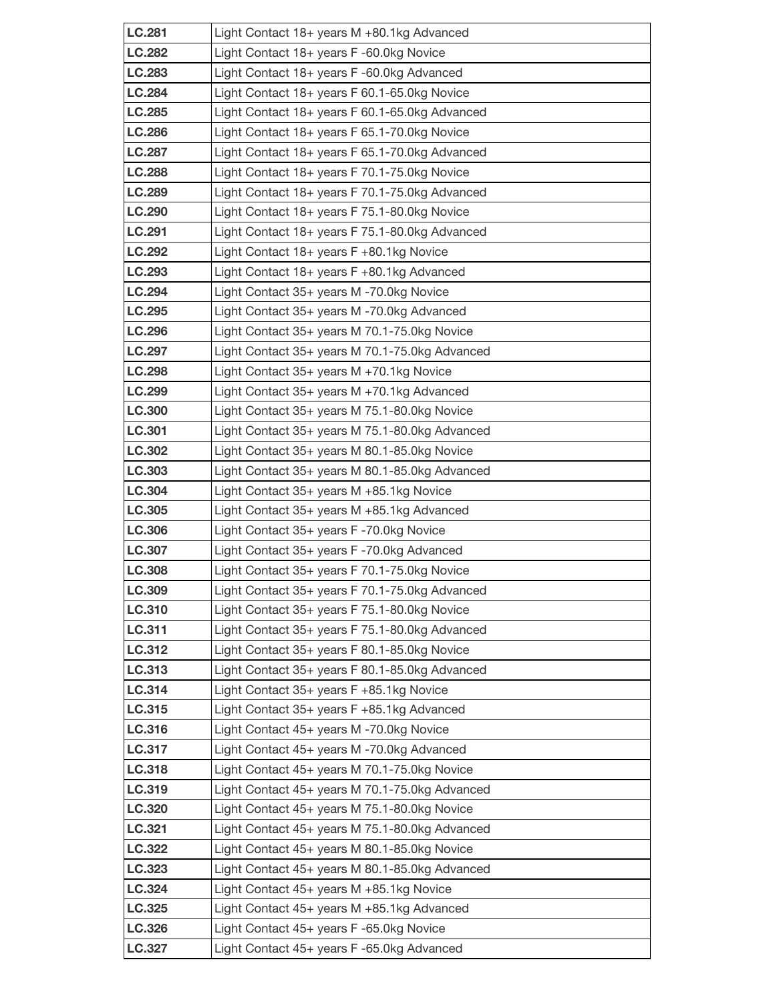| <b>LC.281</b>    | Light Contact 18+ years M +80.1kg Advanced                                                     |
|------------------|------------------------------------------------------------------------------------------------|
| <b>LC.282</b>    | Light Contact 18+ years F-60.0kg Novice                                                        |
| LC.283           | Light Contact 18+ years F-60.0kg Advanced                                                      |
| <b>LC.284</b>    | Light Contact 18+ years F 60.1-65.0kg Novice                                                   |
| LC.285           | Light Contact 18+ years F 60.1-65.0kg Advanced                                                 |
| <b>LC.286</b>    | Light Contact 18+ years F 65.1-70.0kg Novice                                                   |
| <b>LC.287</b>    | Light Contact 18+ years F 65.1-70.0kg Advanced                                                 |
| <b>LC.288</b>    | Light Contact 18+ years F 70.1-75.0kg Novice                                                   |
| <b>LC.289</b>    | Light Contact 18+ years F 70.1-75.0kg Advanced                                                 |
| LC.290           | Light Contact 18+ years F 75.1-80.0kg Novice                                                   |
| LC.291           | Light Contact 18+ years F 75.1-80.0kg Advanced                                                 |
| LC.292           | Light Contact 18+ years F +80.1kg Novice                                                       |
| LC.293           | Light Contact 18+ years F +80.1kg Advanced                                                     |
| LC.294           | Light Contact 35+ years M-70.0kg Novice                                                        |
| LC.295           | Light Contact 35+ years M -70.0kg Advanced                                                     |
| LC.296           | Light Contact 35+ years M 70.1-75.0kg Novice                                                   |
| LC.297           | Light Contact 35+ years M 70.1-75.0kg Advanced                                                 |
| LC.298           | Light Contact 35+ years M +70.1kg Novice                                                       |
| LC.299           | Light Contact 35+ years M +70.1kg Advanced                                                     |
| LC.300           | Light Contact 35+ years M 75.1-80.0kg Novice                                                   |
| LC.301           | Light Contact 35+ years M 75.1-80.0kg Advanced                                                 |
| LC.302           | Light Contact 35+ years M 80.1-85.0kg Novice                                                   |
| LC.303           | Light Contact 35+ years M 80.1-85.0kg Advanced                                                 |
| LC.304           | Light Contact 35+ years M +85.1kg Novice                                                       |
| LC.305           | Light Contact 35+ years M +85.1kg Advanced                                                     |
| LC.306           | Light Contact 35+ years F-70.0kg Novice                                                        |
| LC.307           | Light Contact 35+ years F-70.0kg Advanced                                                      |
| LC.308<br>LC.309 | Light Contact 35+ years F 70.1-75.0kg Novice<br>Light Contact 35+ years F 70.1-75.0kg Advanced |
| LC.310           | Light Contact 35+ years F 75.1-80.0kg Novice                                                   |
| LC.311           | Light Contact 35+ years F 75.1-80.0kg Advanced                                                 |
| LC.312           | Light Contact 35+ years F 80.1-85.0kg Novice                                                   |
| LC.313           | Light Contact 35+ years F 80.1-85.0kg Advanced                                                 |
| LC.314           | Light Contact 35+ years F +85.1kg Novice                                                       |
| LC.315           | Light Contact 35+ years F +85.1kg Advanced                                                     |
| LC.316           | Light Contact 45+ years M-70.0kg Novice                                                        |
| LC.317           | Light Contact 45+ years M-70.0kg Advanced                                                      |
| LC.318           | Light Contact 45+ years M 70.1-75.0kg Novice                                                   |
| LC.319           | Light Contact 45+ years M 70.1-75.0kg Advanced                                                 |
| LC.320           | Light Contact 45+ years M 75.1-80.0kg Novice                                                   |
| LC.321           | Light Contact 45+ years M 75.1-80.0kg Advanced                                                 |
| LC.322           | Light Contact 45+ years M 80.1-85.0kg Novice                                                   |
| LC.323           | Light Contact 45+ years M 80.1-85.0kg Advanced                                                 |
| LC.324           | Light Contact $45+$ years M $+85.1$ kg Novice                                                  |
| LC.325           | Light Contact 45+ years M +85.1kg Advanced                                                     |
| LC.326           | Light Contact 45+ years F-65.0kg Novice                                                        |
| LC.327           | Light Contact 45+ years F-65.0kg Advanced                                                      |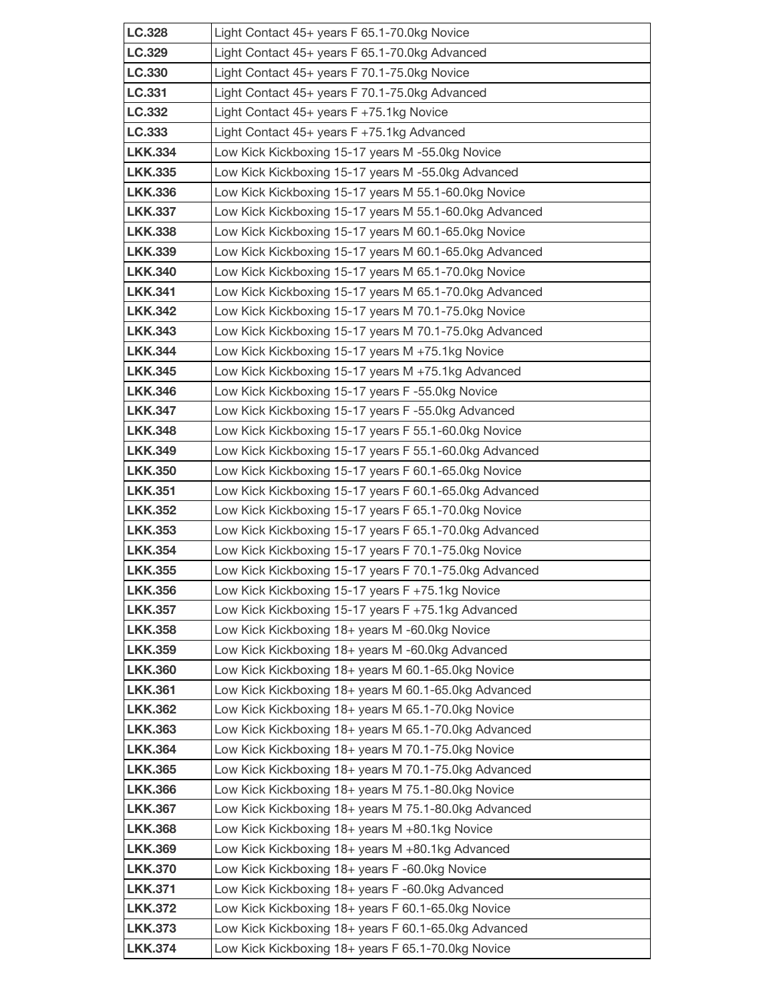| LC.328                           | Light Contact 45+ years F 65.1-70.0kg Novice                                                      |
|----------------------------------|---------------------------------------------------------------------------------------------------|
| LC.329                           | Light Contact 45+ years F 65.1-70.0kg Advanced                                                    |
| LC.330                           | Light Contact 45+ years F 70.1-75.0kg Novice                                                      |
| LC.331                           | Light Contact 45+ years F 70.1-75.0kg Advanced                                                    |
| LC.332                           | Light Contact 45+ years F +75.1kg Novice                                                          |
| LC.333                           | Light Contact 45+ years F +75.1kg Advanced                                                        |
| <b>LKK.334</b>                   | Low Kick Kickboxing 15-17 years M-55.0kg Novice                                                   |
| <b>LKK.335</b>                   | Low Kick Kickboxing 15-17 years M -55.0kg Advanced                                                |
| <b>LKK.336</b>                   | Low Kick Kickboxing 15-17 years M 55.1-60.0kg Novice                                              |
| <b>LKK.337</b>                   | Low Kick Kickboxing 15-17 years M 55.1-60.0kg Advanced                                            |
| <b>LKK.338</b>                   | Low Kick Kickboxing 15-17 years M 60.1-65.0kg Novice                                              |
| <b>LKK.339</b>                   | Low Kick Kickboxing 15-17 years M 60.1-65.0kg Advanced                                            |
| <b>LKK.340</b>                   | Low Kick Kickboxing 15-17 years M 65.1-70.0kg Novice                                              |
| <b>LKK.341</b>                   | Low Kick Kickboxing 15-17 years M 65.1-70.0kg Advanced                                            |
| <b>LKK.342</b>                   | Low Kick Kickboxing 15-17 years M 70.1-75.0kg Novice                                              |
| <b>LKK.343</b>                   | Low Kick Kickboxing 15-17 years M 70.1-75.0kg Advanced                                            |
| <b>LKK.344</b>                   | Low Kick Kickboxing 15-17 years M +75.1kg Novice                                                  |
| <b>LKK.345</b>                   | Low Kick Kickboxing 15-17 years M +75.1kg Advanced                                                |
| <b>LKK.346</b>                   | Low Kick Kickboxing 15-17 years F-55.0kg Novice                                                   |
| <b>LKK.347</b>                   | Low Kick Kickboxing 15-17 years F-55.0kg Advanced                                                 |
| <b>LKK.348</b>                   | Low Kick Kickboxing 15-17 years F 55.1-60.0kg Novice                                              |
| <b>LKK.349</b>                   | Low Kick Kickboxing 15-17 years F 55.1-60.0kg Advanced                                            |
| <b>LKK.350</b>                   | Low Kick Kickboxing 15-17 years F 60.1-65.0kg Novice                                              |
| <b>LKK.351</b>                   | Low Kick Kickboxing 15-17 years F 60.1-65.0kg Advanced                                            |
| <b>LKK.352</b>                   | Low Kick Kickboxing 15-17 years F 65.1-70.0kg Novice                                              |
| <b>LKK.353</b>                   | Low Kick Kickboxing 15-17 years F 65.1-70.0kg Advanced                                            |
| <b>LKK.354</b>                   | Low Kick Kickboxing 15-17 years F 70.1-75.0kg Novice                                              |
| <b>LKK.355</b>                   | Low Kick Kickboxing 15-17 years F 70.1-75.0kg Advanced                                            |
| <b>LKK.356</b>                   | Low Kick Kickboxing 15-17 years F +75.1kg Novice                                                  |
| <b>LKK.357</b><br><b>LKK.358</b> | Low Kick Kickboxing 15-17 years F +75.1kg Advanced                                                |
| <b>LKK.359</b>                   | Low Kick Kickboxing 18+ years M-60.0kg Novice<br>Low Kick Kickboxing 18+ years M -60.0kg Advanced |
| <b>LKK.360</b>                   | Low Kick Kickboxing 18+ years M 60.1-65.0kg Novice                                                |
| <b>LKK.361</b>                   | Low Kick Kickboxing 18+ years M 60.1-65.0kg Advanced                                              |
| <b>LKK.362</b>                   | Low Kick Kickboxing 18+ years M 65.1-70.0kg Novice                                                |
| <b>LKK.363</b>                   | Low Kick Kickboxing 18+ years M 65.1-70.0kg Advanced                                              |
| <b>LKK.364</b>                   | Low Kick Kickboxing 18+ years M 70.1-75.0kg Novice                                                |
| <b>LKK.365</b>                   | Low Kick Kickboxing 18+ years M 70.1-75.0kg Advanced                                              |
| <b>LKK.366</b>                   | Low Kick Kickboxing 18+ years M 75.1-80.0kg Novice                                                |
| <b>LKK.367</b>                   | Low Kick Kickboxing 18+ years M 75.1-80.0kg Advanced                                              |
| <b>LKK.368</b>                   | Low Kick Kickboxing 18+ years M +80.1kg Novice                                                    |
| <b>LKK.369</b>                   | Low Kick Kickboxing 18+ years M +80.1kg Advanced                                                  |
| <b>LKK.370</b>                   | Low Kick Kickboxing 18+ years F-60.0kg Novice                                                     |
| <b>LKK.371</b>                   | Low Kick Kickboxing 18+ years F-60.0kg Advanced                                                   |
| <b>LKK.372</b>                   | Low Kick Kickboxing 18+ years F 60.1-65.0kg Novice                                                |
| <b>LKK.373</b>                   | Low Kick Kickboxing 18+ years F 60.1-65.0kg Advanced                                              |
| <b>LKK.374</b>                   | Low Kick Kickboxing 18+ years F 65.1-70.0kg Novice                                                |